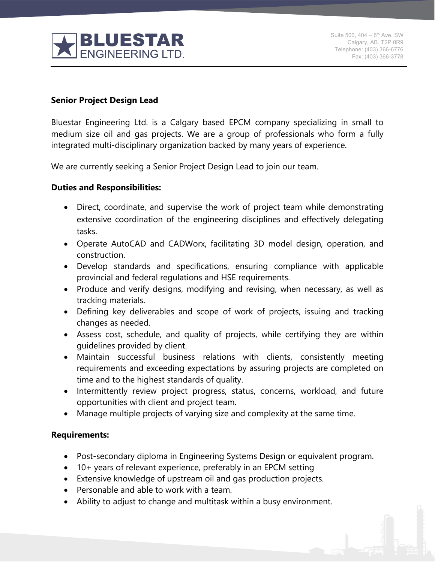

## **Senior Project Design Lead**

Bluestar Engineering Ltd. is a Calgary based EPCM company specializing in small to medium size oil and gas projects. We are a group of professionals who form a fully integrated multi-disciplinary organization backed by many years of experience.

We are currently seeking a Senior Project Design Lead to join our team.

## **Duties and Responsibilities:**

- Direct, coordinate, and supervise the work of project team while demonstrating extensive coordination of the engineering disciplines and effectively delegating tasks.
- Operate AutoCAD and CADWorx, facilitating 3D model design, operation, and construction.
- Develop standards and specifications, ensuring compliance with applicable provincial and federal regulations and HSE requirements.
- Produce and verify designs, modifying and revising, when necessary, as well as tracking materials.
- Defining key deliverables and scope of work of projects, issuing and tracking changes as needed.
- Assess cost, schedule, and quality of projects, while certifying they are within guidelines provided by client.
- Maintain successful business relations with clients, consistently meeting requirements and exceeding expectations by assuring projects are completed on time and to the highest standards of quality.
- Intermittently review project progress, status, concerns, workload, and future opportunities with client and project team.
- Manage multiple projects of varying size and complexity at the same time.

## **Requirements:**

- Post-secondary diploma in Engineering Systems Design or equivalent program.
- 10+ years of relevant experience, preferably in an EPCM setting
- Extensive knowledge of upstream oil and gas production projects.
- Personable and able to work with a team.
- Ability to adjust to change and multitask within a busy environment.